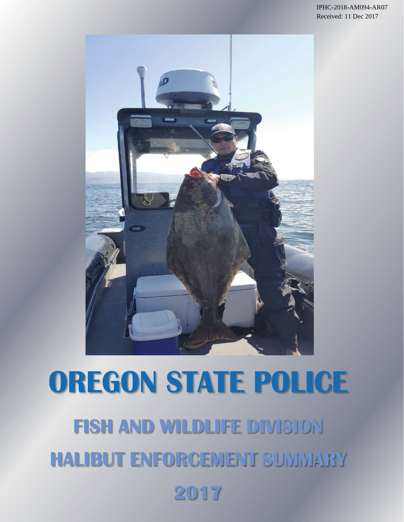

# **OREGON STATE POLICE FISH AND WILDLIFE HALIBUT ENFORCEMENT 2017**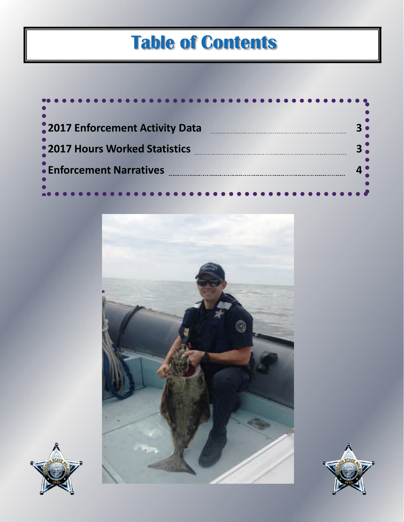# **Table of Contents**

| 2017 Enforcement Activity Data |  |
|--------------------------------|--|
| •2017 Hours Worked Statistics  |  |
| • Enforcement Narratives       |  |
|                                |  |





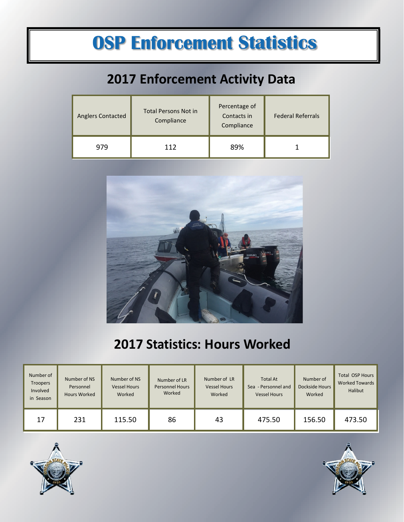# **OSP Enforcement Statistics**

#### **2017 Enforcement Activity Data**

| <b>Anglers Contacted</b> | Percentage of<br>Total Persons Not in<br>Contacts in<br>Compliance<br>Compliance |     | <b>Federal Referrals</b> |  |
|--------------------------|----------------------------------------------------------------------------------|-----|--------------------------|--|
| 979                      | 112                                                                              | 89% |                          |  |



#### **2017 Statistics: Hours Worked**

| Number of<br><b>Troopers</b><br>Involved<br>in Season | Number of NS<br>Personnel<br><b>Hours Worked</b> | Number of NS<br><b>Vessel Hours</b><br>Worked | Number of LR<br><b>Personnel Hours</b><br>Worked | Number of LR<br><b>Vessel Hours</b><br>Worked | <b>Total At</b><br>Sea - Personnel and<br><b>Vessel Hours</b> | Number of<br>Dockside Hours<br>Worked | <b>Total OSP Hours</b><br>Worked Towards<br>Halibut |
|-------------------------------------------------------|--------------------------------------------------|-----------------------------------------------|--------------------------------------------------|-----------------------------------------------|---------------------------------------------------------------|---------------------------------------|-----------------------------------------------------|
| 17                                                    | 231                                              | 115.50                                        | 86                                               | 43                                            | 475.50                                                        | 156.50                                | 473.50                                              |



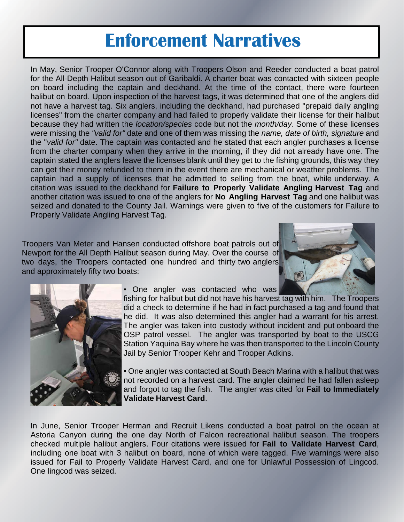### **Enforcement Narratives**

In May, Senior Trooper O'Connor along with Troopers Olson and Reeder conducted a boat patrol for the All-Depth Halibut season out of Garibaldi. A charter boat was contacted with sixteen people on board including the captain and deckhand. At the time of the contact, there were fourteen halibut on board. Upon inspection of the harvest tags, it was determined that one of the anglers did not have a harvest tag. Six anglers, including the deckhand, had purchased "prepaid daily angling licenses" from the charter company and had failed to properly validate their license for their halibut because they had written the *location/species* code but not the *month/day*. Some of these licenses were missing the *"valid for"* date and one of them was missing the *name, date of birth, signature* and the "*valid for"* date. The captain was contacted and he stated that each angler purchases a license from the charter company when they arrive in the morning, if they did not already have one. The captain stated the anglers leave the licenses blank until they get to the fishing grounds, this way they can get their money refunded to them in the event there are mechanical or weather problems. The captain had a supply of licenses that he admitted to selling from the boat, while underway. A citation was issued to the deckhand for **Failure to Properly Validate Angling Harvest Tag** and another citation was issued to one of the anglers for **No Angling Harvest Tag** and one halibut was seized and donated to the County Jail. Warnings were given to five of the customers for Failure to Properly Validate Angling Harvest Tag.

Troopers Van Meter and Hansen conducted offshore boat patrols out of Newport for the All Depth Halibut season during May. Over the course of two days, the Troopers contacted one hundred and thirty two anglers and approximately fifty two boats:





• One angler was contacted who was

fishing for halibut but did not have his harvest tag with him. The Troopers did a check to determine if he had in fact purchased a tag and found that he did. It was also determined this angler had a warrant for his arrest. The angler was taken into custody without incident and put onboard the OSP patrol vessel. The angler was transported by boat to the USCG Station Yaquina Bay where he was then transported to the Lincoln County Jail by Senior Trooper Kehr and Trooper Adkins.

▪ One angler was contacted at South Beach Marina with a halibut that was not recorded on a harvest card. The angler claimed he had fallen asleep and forgot to tag the fish. The angler was cited for **Fail to Immediately Validate Harvest Card**.

In June, Senior Trooper Herman and Recruit Likens conducted a boat patrol on the ocean at Astoria Canyon during the one day North of Falcon recreational halibut season. The troopers checked multiple halibut anglers. Four citations were issued for **Fail to Validate Harvest Card**, including one boat with 3 halibut on board, none of which were tagged. Five warnings were also issued for Fail to Properly Validate Harvest Card, and one for Unlawful Possession of Lingcod. One lingcod was seized.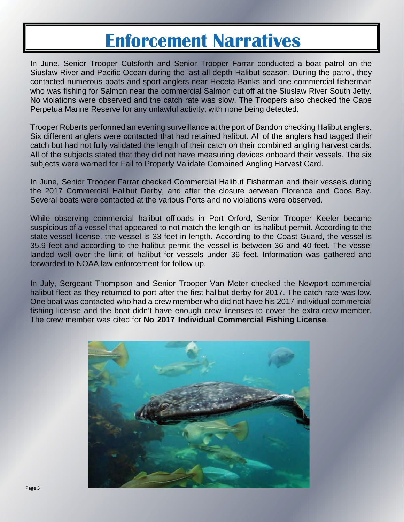## **Enforcement Narratives**

In June, Senior Trooper Cutsforth and Senior Trooper Farrar conducted a boat patrol on the Siuslaw River and Pacific Ocean during the last all depth Halibut season. During the patrol, they contacted numerous boats and sport anglers near Heceta Banks and one commercial fisherman who was fishing for Salmon near the commercial Salmon cut off at the Siuslaw River South Jetty. No violations were observed and the catch rate was slow. The Troopers also checked the Cape Perpetua Marine Reserve for any unlawful activity, with none being detected.

Trooper Roberts performed an evening surveillance at the port of Bandon checking Halibut anglers. Six different anglers were contacted that had retained halibut. All of the anglers had tagged their catch but had not fully validated the length of their catch on their combined angling harvest cards. All of the subjects stated that they did not have measuring devices onboard their vessels. The six subjects were warned for Fail to Properly Validate Combined Angling Harvest Card.

In June, Senior Trooper Farrar checked Commercial Halibut Fisherman and their vessels during the 2017 Commercial Halibut Derby, and after the closure between Florence and Coos Bay. Several boats were contacted at the various Ports and no violations were observed.

While observing commercial halibut offloads in Port Orford, Senior Trooper Keeler became suspicious of a vessel that appeared to not match the length on its halibut permit. According to the state vessel license, the vessel is 33 feet in length. According to the Coast Guard, the vessel is 35.9 feet and according to the halibut permit the vessel is between 36 and 40 feet. The vessel landed well over the limit of halibut for vessels under 36 feet. Information was gathered and forwarded to NOAA law enforcement for follow-up.

In July, Sergeant Thompson and Senior Trooper Van Meter checked the Newport commercial halibut fleet as they returned to port after the first halibut derby for 2017. The catch rate was low. One boat was contacted who had a crew member who did not have his 2017 individual commercial fishing license and the boat didn't have enough crew licenses to cover the extra crew member. The crew member was cited for **No 2017 Individual Commercial Fishing License**.